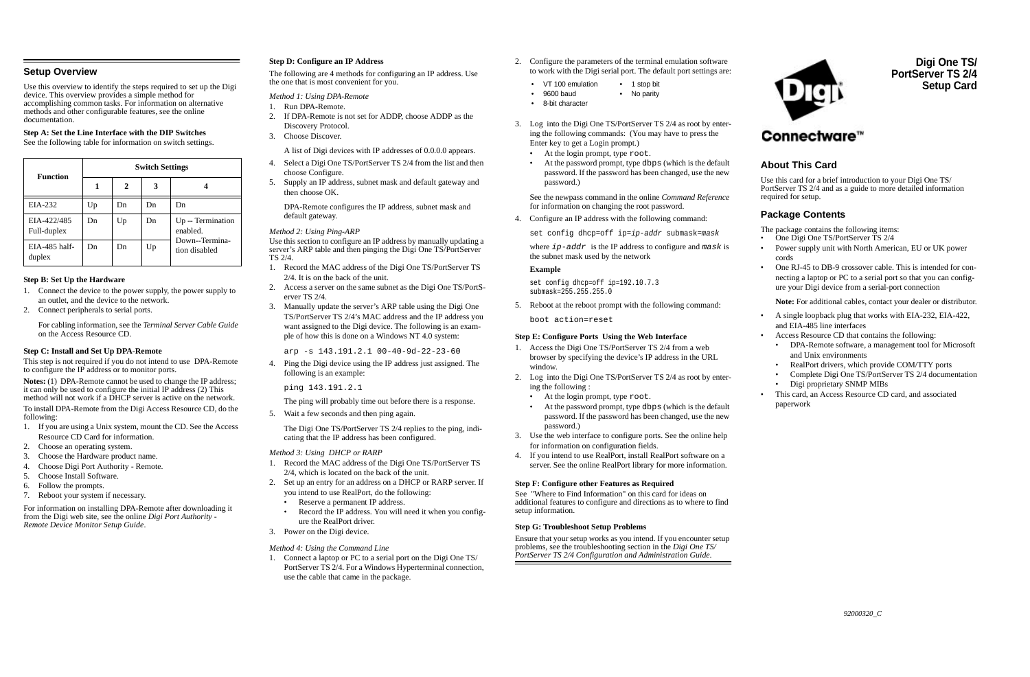## **Setup Overview**

Use this overview to identify the steps required to set up the Digi device. This overview provides a simple method for accomplishing common tasks. For information on alternative methods and other configurable features, see the online documentation.

## **Step A: Set the Line Interface with the DIP Switches**

See the following table for information on switch settings.

## **Step B: Set Up the Hardware**

- 1. Connect the device to the power supply, the power supply to an outlet, and the device to the network.
- 2. Connect peripherals to serial ports.

For cabling information, see the *Terminal Server Cable Guide* on the Access Resource CD.

## **Step C: Install and Set Up DPA-Remote**

This step is not required if you do not intend to use DPA-Remote to configure the IP address or to monitor ports.

**Notes:** (1) DPA-Remote cannot be used to change the IP address; it can only be used to configure the initial IP address (2) This method will not work if a DHCP server is active on the network.

To install DPA-Remote from the Digi Access Resource CD, do the following:

- 1. If you are using a Unix system, mount the CD. See the Access Resource CD Card for information.
- 2. Choose an operating system.
- 3. Choose the Hardware product name.
- 4. Choose Digi Port Authority Remote.
- 5. Choose Install Software.
- 6. Follow the prompts.
- 7. Reboot your system if necessary.

For information on installing DPA-Remote after downloading it from the Digi web site, see the online *Digi Port Authority - Remote Device Monitor Setup Guide*.

## **Step D: Configure an IP Address**

The following are 4 methods for configuring an IP address. Use the one that is most convenient for you.

## *Method 1: Using DPA-Remote*

- 1. Run DPA-Remote.
- 2. If DPA-Remote is not set for ADDP, choose ADDP as the Discovery Protocol.
- 3. Choose Discover.

A list of Digi devices with IP addresses of 0.0.0.0 appears.

- 4. Select a Digi One TS/PortServer TS 2/4 from the list and then choose Configure.
- 5. Supply an IP address, subnet mask and default gateway and then choose OK.

DPA-Remote configures the IP address, subnet mask and default gateway.

## *Method 2: Using Ping-ARP*

where  $ip$ -addr is the IP address to configure and mask is the subnet mask used by the network

Use this section to configure an IP address by manually updating a server's ARP table and then pinging the Digi One TS/PortServer TS 2/4.

- 1. Record the MAC address of the Digi One TS/PortServer TS 2/4. It is on the back of the unit.
- 2. Access a server on the same subnet as the Digi One TS/PortServer TS 2/4.
- 3. Manually update the server's ARP table using the Digi One TS/PortServer TS 2/4's MAC address and the IP address you want assigned to the Digi device. The following is an example of how this is done on a Windows NT 4.0 system:

arp -s 143.191.2.1 00-40-9d-22-23-60

4. Ping the Digi device using the IP address just assigned. The following is an example:

ping 143.191.2.1

The ping will probably time out before there is a response.

5. Wait a few seconds and then ping again.

The Digi One TS/PortServer TS 2/4 replies to the ping, indicating that the IP address has been configured.

#### *Method 3: Using DHCP or RARP*

- 1. Record the MAC address of the Digi One TS/PortServer TS 2/4, which is located on the back of the unit.
- 2. Set up an entry for an address on a DHCP or RARP server. If you intend to use RealPort, do the following:
	- •Reserve a permanent IP address.
	- • Record the IP address. You will need it when you configure the RealPort driver.
- 3. Power on the Digi device.

## *Method 4: Using the Command Line*

1. Connect a laptop or PC to a serial port on the Digi One TS/ PortServer TS 2/4. For a Windows Hyperterminal connection, use the cable that came in the package.

- 2. Configure the parameters of the terminal emulation software to work with the Digi serial port. The default port settings are:
	- VT 100 emulation 1 stop bit
	- 9600 baud • No parity
	- 8-bit character
- 3. Log into the Digi One TS/PortServer TS 2/4 as root by entering the following commands: (You may have to press the Enter key to get a Login prompt.)
	- •At the login prompt, type root.
	- • At the password prompt, type dbps (which is the default password. If the password has been changed, use the new password.)

See the newpass command in the online *Command Reference* for information on changing the root password.

4. Configure an IP address with the following command:

set config dhcp=off ip=ip-addr submask=mask

#### **Example**

set config dhcp=off ip=192.10.7.3 submask=255.255.255.0

5. Reboot at the reboot prompt with the following command:

boot action=reset

## **Step E: Configure Ports Using the Web Interface**

- 1. Access the Digi One TS/PortServer TS 2/4 from a web browser by specifying the device's IP address in the URL window.
- 2. Log into the Digi One TS/PortServer TS 2/4 as root by entering the following :
	- •At the login prompt, type root.
	- • At the password prompt, type dbps (which is the default password. If the password has been changed, use the new password.)
- 3. Use the web interface to configure ports. See the online help for information on configuration fields.
- 4. If you intend to use RealPort, install RealPort software on a server. See the online RealPort library for more information.

## **Step F: Configure other Features as Required**

See "Where to Find Information" on this card for ideas on additional features to configure and directions as to where to find setup information.

## **Step G: Troubleshoot Setup Problems**

Ensure that your setup works as you intend. If you encounter setup problems, see the troubleshooting section in the *Digi One TS/ PortServer TS 2/4 Configuration and Administration Guide*.



# **Digi One TS/ PortServer TS 2/4Setup Card**

# **About This Card**

Use this card for a brief introduction to your Digi One TS/ PortServer TS 2/4 and as a guide to more detailed information required for setup.

# **Package Contents**

The package contains the following items:

- •One Digi One TS/PortServer TS 2/4
- • Power supply unit with North American, EU or UK power cords
- • One RJ-45 to DB-9 crossover cable. This is intended for connecting a laptop or PC to a serial port so that you can configure your Digi device from a serial-port connection

**Note:** For additional cables, contact your dealer or distributor.

- • A single loopback plug that works with EIA-232, EIA-422, and EIA-485 line interfaces
- • Access Resource CD that contains the following:
	- • DPA-Remote software, a management tool for Microsoft and Unix environments
	- •RealPort drivers, which provide COM/TTY ports
	- •Complete Digi One TS/PortServer TS 2/4 documentation
	- •Digi proprietary SNMP MIBs
- • This card, an Access Resource CD card, and associated paperwork

| <b>Function</b>            | <b>Switch Settings</b> |    |    |                                 |
|----------------------------|------------------------|----|----|---------------------------------|
|                            |                        | 2  | 3  |                                 |
| EIA-232                    | Up                     | Dn | Dn | Dn                              |
| EIA-422/485<br>Full-duplex | Dn                     | Up | Dn | Up -- Termination<br>enabled.   |
| EIA-485 half-<br>duplex    | Dn                     | Dn | Up | Down--Termina-<br>tion disabled |